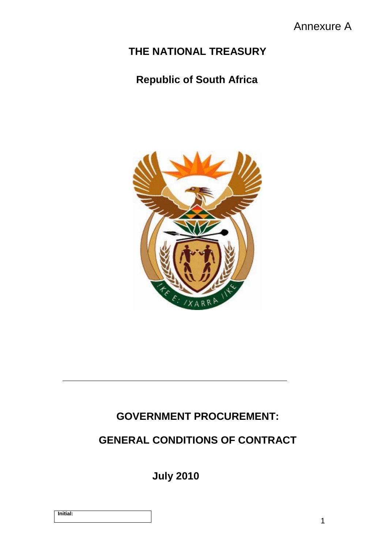# **THE NATIONAL TREASURY**

# **Republic of South Africa**



# **GOVERNMENT PROCUREMENT:**

# **GENERAL CONDITIONS OF CONTRACT**

**July 2010**

|--|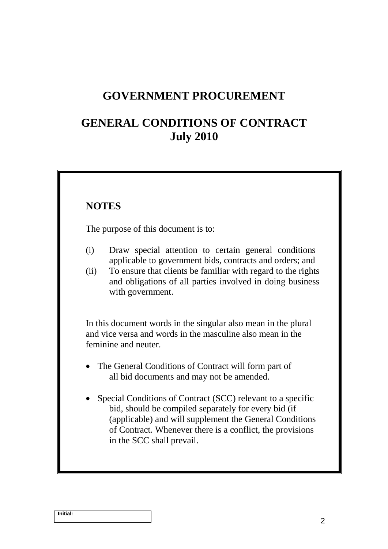#### **GOVERNMENT PROCUREMENT**

#### **GENERAL CONDITIONS OF CONTRACT July 2010**

#### **NOTES**

The purpose of this document is to:

- (i) Draw special attention to certain general conditions applicable to government bids, contracts and orders; and
- (ii) To ensure that clients be familiar with regard to the rights and obligations of all parties involved in doing business with government.

In this document words in the singular also mean in the plural and vice versa and words in the masculine also mean in the feminine and neuter.

- The General Conditions of Contract will form part of all bid documents and may not be amended.
- Special Conditions of Contract (SCC) relevant to a specific bid, should be compiled separately for every bid (if (applicable) and will supplement the General Conditions of Contract. Whenever there is a conflict, the provisions in the SCC shall prevail.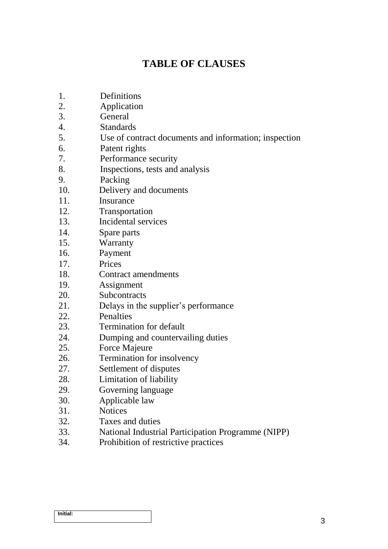#### **TABLE OF CLAUSES**

- 1. Definitions
- 2. Application
- 3. General
- 4. Standards
- 5. Use of contract documents and information; inspection
- 6. Patent rights
- 7. Performance security
- 8. Inspections, tests and analysis
- 9. Packing
- 10. Delivery and documents
- 11. Insurance
- 12. Transportation
- 13. Incidental services
- 14. Spare parts
- 15. Warranty
- 16. Payment
- 17. Prices
- 18. Contract amendments
- 19. Assignment
- 20. Subcontracts
- 21. Delays in the supplier's performance
- 22. Penalties
- 23. Termination for default
- 24. Dumping and countervailing duties
- 25. Force Majeure
- 26. Termination for insolvency
- 27. Settlement of disputes
- 28. Limitation of liability
- 29. Governing language
- 30. Applicable law
- 31. Notices
- 32. Taxes and duties
- 33. National Industrial Participation Programme (NIPP)
- 34. Prohibition of restrictive practices

| <b>Initial:</b> |  |  |
|-----------------|--|--|
|                 |  |  |
|                 |  |  |
|                 |  |  |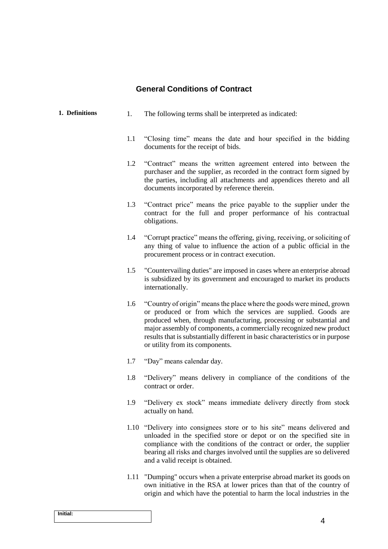#### **General Conditions of Contract**

| 1. Definitions | 1. |     | The following terms shall be interpreted as indicated:                                                                                                                                                                                                                                                                                                                                                     |
|----------------|----|-----|------------------------------------------------------------------------------------------------------------------------------------------------------------------------------------------------------------------------------------------------------------------------------------------------------------------------------------------------------------------------------------------------------------|
|                |    | 1.1 | "Closing time" means the date and hour specified in the bidding<br>documents for the receipt of bids.                                                                                                                                                                                                                                                                                                      |
|                |    | 1.2 | "Contract" means the written agreement entered into between the<br>purchaser and the supplier, as recorded in the contract form signed by<br>the parties, including all attachments and appendices thereto and all<br>documents incorporated by reference therein.                                                                                                                                         |
|                |    | 1.3 | "Contract price" means the price payable to the supplier under the<br>contract for the full and proper performance of his contractual<br>obligations.                                                                                                                                                                                                                                                      |
|                |    | 1.4 | "Corrupt practice" means the offering, giving, receiving, or soliciting of<br>any thing of value to influence the action of a public official in the<br>procurement process or in contract execution.                                                                                                                                                                                                      |
|                |    | 1.5 | "Countervailing duties" are imposed in cases where an enterprise abroad<br>is subsidized by its government and encouraged to market its products<br>internationally.                                                                                                                                                                                                                                       |
|                |    | 1.6 | "Country of origin" means the place where the goods were mined, grown<br>or produced or from which the services are supplied. Goods are<br>produced when, through manufacturing, processing or substantial and<br>major assembly of components, a commercially recognized new product<br>results that is substantially different in basic characteristics or in purpose<br>or utility from its components. |
|                |    | 1.7 | "Day" means calendar day.                                                                                                                                                                                                                                                                                                                                                                                  |
|                |    | 1.8 | "Delivery" means delivery in compliance of the conditions of the<br>contract or order.                                                                                                                                                                                                                                                                                                                     |
|                |    | 1.9 | "Delivery ex stock" means immediate delivery directly from stock<br>actually on hand.                                                                                                                                                                                                                                                                                                                      |
|                |    |     | 1.10 "Delivery into consignees store or to his site" means delivered and<br>unloaded in the specified store or depot or on the specified site in<br>compliance with the conditions of the contract or order, the supplier<br>bearing all risks and charges involved until the supplies are so delivered<br>and a valid receipt is obtained.                                                                |
|                |    |     | 1.11 "Dumping" occurs when a private enterprise abroad market its goods on                                                                                                                                                                                                                                                                                                                                 |

1.11 "Dumping" occurs when a private enterprise abroad market its goods on own initiative in the RSA at lower prices than that of the country of origin and which have the potential to harm the local industries in the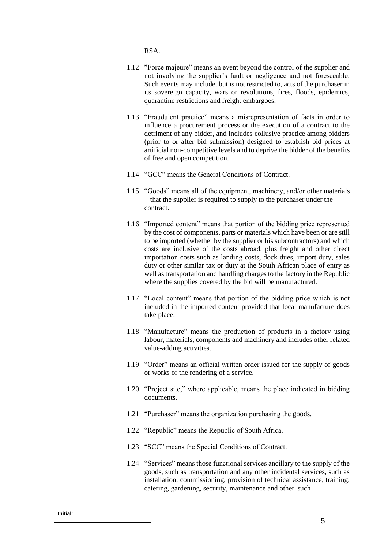RSA.

- 1.12 "Force majeure" means an event beyond the control of the supplier and not involving the supplier's fault or negligence and not foreseeable. Such events may include, but is not restricted to, acts of the purchaser in its sovereign capacity, wars or revolutions, fires, floods, epidemics, quarantine restrictions and freight embargoes.
- 1.13 "Fraudulent practice" means a misrepresentation of facts in order to influence a procurement process or the execution of a contract to the detriment of any bidder, and includes collusive practice among bidders (prior to or after bid submission) designed to establish bid prices at artificial non-competitive levels and to deprive the bidder of the benefits of free and open competition.
- 1.14 "GCC" means the General Conditions of Contract.
- 1.15 "Goods" means all of the equipment, machinery, and/or other materials that the supplier is required to supply to the purchaser under the contract.
- 1.16 "Imported content" means that portion of the bidding price represented by the cost of components, parts or materials which have been or are still to be imported (whether by the supplier or his subcontractors) and which costs are inclusive of the costs abroad, plus freight and other direct importation costs such as landing costs, dock dues, import duty, sales duty or other similar tax or duty at the South African place of entry as well as transportation and handling charges to the factory in the Republic where the supplies covered by the bid will be manufactured.
- 1.17 "Local content" means that portion of the bidding price which is not included in the imported content provided that local manufacture does take place.
- 1.18 "Manufacture" means the production of products in a factory using labour, materials, components and machinery and includes other related value-adding activities.
- 1.19 "Order" means an official written order issued for the supply of goods or works or the rendering of a service.
- 1.20 "Project site," where applicable, means the place indicated in bidding documents.
- 1.21 "Purchaser" means the organization purchasing the goods.
- 1.22 "Republic" means the Republic of South Africa.
- 1.23 "SCC" means the Special Conditions of Contract.
- 1.24 "Services" means those functional services ancillary to the supply of the goods, such as transportation and any other incidental services, such as installation, commissioning, provision of technical assistance, training, catering, gardening, security, maintenance and other such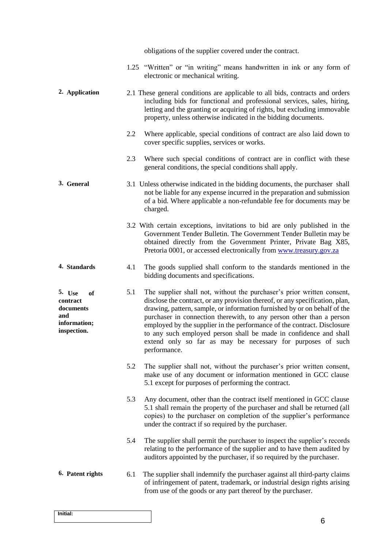|                                                                             |     | obligations of the supplier covered under the contract.                                                                                                                                                                                                                                                                                                                                                                                                                                                                                    |
|-----------------------------------------------------------------------------|-----|--------------------------------------------------------------------------------------------------------------------------------------------------------------------------------------------------------------------------------------------------------------------------------------------------------------------------------------------------------------------------------------------------------------------------------------------------------------------------------------------------------------------------------------------|
|                                                                             |     | 1.25 "Written" or "in writing" means handwritten in ink or any form of<br>electronic or mechanical writing.                                                                                                                                                                                                                                                                                                                                                                                                                                |
| 2. Application                                                              |     | 2.1 These general conditions are applicable to all bids, contracts and orders<br>including bids for functional and professional services, sales, hiring,<br>letting and the granting or acquiring of rights, but excluding immovable<br>property, unless otherwise indicated in the bidding documents.                                                                                                                                                                                                                                     |
|                                                                             | 2.2 | Where applicable, special conditions of contract are also laid down to<br>cover specific supplies, services or works.                                                                                                                                                                                                                                                                                                                                                                                                                      |
|                                                                             | 2.3 | Where such special conditions of contract are in conflict with these<br>general conditions, the special conditions shall apply.                                                                                                                                                                                                                                                                                                                                                                                                            |
| 3. General                                                                  |     | 3.1 Unless otherwise indicated in the bidding documents, the purchaser shall<br>not be liable for any expense incurred in the preparation and submission<br>of a bid. Where applicable a non-refundable fee for documents may be<br>charged.                                                                                                                                                                                                                                                                                               |
|                                                                             |     | 3.2 With certain exceptions, invitations to bid are only published in the<br>Government Tender Bulletin. The Government Tender Bulletin may be<br>obtained directly from the Government Printer, Private Bag X85,<br>Pretoria 0001, or accessed electronically from www.treasury.gov.za                                                                                                                                                                                                                                                    |
| 4. Standards                                                                | 4.1 | The goods supplied shall conform to the standards mentioned in the<br>bidding documents and specifications.                                                                                                                                                                                                                                                                                                                                                                                                                                |
| 5. Use<br>of<br>contract<br>documents<br>and<br>information;<br>inspection. | 5.1 | The supplier shall not, without the purchaser's prior written consent,<br>disclose the contract, or any provision thereof, or any specification, plan,<br>drawing, pattern, sample, or information furnished by or on behalf of the<br>purchaser in connection therewith, to any person other than a person<br>employed by the supplier in the performance of the contract. Disclosure<br>to any such employed person shall be made in confidence and shall<br>extend only so far as may be necessary for purposes of such<br>performance. |
|                                                                             | 5.2 | The supplier shall not, without the purchaser's prior written consent,<br>make use of any document or information mentioned in GCC clause<br>5.1 except for purposes of performing the contract.                                                                                                                                                                                                                                                                                                                                           |
|                                                                             | 5.3 | Any document, other than the contract itself mentioned in GCC clause<br>5.1 shall remain the property of the purchaser and shall be returned (all<br>copies) to the purchaser on completion of the supplier's performance<br>under the contract if so required by the purchaser.                                                                                                                                                                                                                                                           |
|                                                                             | 5.4 | The supplier shall permit the purchaser to inspect the supplier's records<br>relating to the performance of the supplier and to have them audited by<br>auditors appointed by the purchaser, if so required by the purchaser.                                                                                                                                                                                                                                                                                                              |
| 6. Patent rights                                                            | 6.1 | The supplier shall indemnify the purchaser against all third-party claims<br>of infringement of patent, trademark, or industrial design rights arising<br>from use of the goods or any part thereof by the purchaser.                                                                                                                                                                                                                                                                                                                      |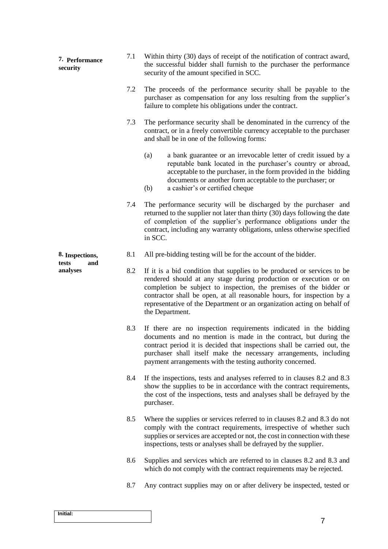| 7. Performance<br>security      | 7.1 | Within thirty (30) days of receipt of the notification of contract award,<br>the successful bidder shall furnish to the purchaser the performance<br>security of the amount specified in SCC.                                                                                                                                                                                              |
|---------------------------------|-----|--------------------------------------------------------------------------------------------------------------------------------------------------------------------------------------------------------------------------------------------------------------------------------------------------------------------------------------------------------------------------------------------|
|                                 | 7.2 | The proceeds of the performance security shall be payable to the<br>purchaser as compensation for any loss resulting from the supplier's<br>failure to complete his obligations under the contract.                                                                                                                                                                                        |
|                                 | 7.3 | The performance security shall be denominated in the currency of the<br>contract, or in a freely convertible currency acceptable to the purchaser<br>and shall be in one of the following forms:                                                                                                                                                                                           |
|                                 |     | a bank guarantee or an irrevocable letter of credit issued by a<br>(a)<br>reputable bank located in the purchaser's country or abroad,<br>acceptable to the purchaser, in the form provided in the bidding<br>documents or another form acceptable to the purchaser; or<br>a cashier's or certified cheque<br>(b)                                                                          |
|                                 | 7.4 | The performance security will be discharged by the purchaser and<br>returned to the supplier not later than thirty (30) days following the date<br>of completion of the supplier's performance obligations under the<br>contract, including any warranty obligations, unless otherwise specified<br>in SCC.                                                                                |
| 8. Inspections,<br>tests<br>and | 8.1 | All pre-bidding testing will be for the account of the bidder.                                                                                                                                                                                                                                                                                                                             |
| analyses                        | 8.2 | If it is a bid condition that supplies to be produced or services to be<br>rendered should at any stage during production or execution or on<br>completion be subject to inspection, the premises of the bidder or<br>contractor shall be open, at all reasonable hours, for inspection by a<br>representative of the Department or an organization acting on behalf of<br>the Department. |
|                                 | 8.3 | If there are no inspection requirements indicated in the bidding<br>documents and no mention is made in the contract, but during the<br>contract period it is decided that inspections shall be carried out, the<br>purchaser shall itself make the necessary arrangements, including<br>payment arrangements with the testing authority concerned.                                        |
|                                 | 8.4 | If the inspections, tests and analyses referred to in clauses 8.2 and 8.3<br>show the supplies to be in accordance with the contract requirements,<br>the cost of the inspections, tests and analyses shall be defrayed by the<br>purchaser.                                                                                                                                               |
|                                 | 8.5 | Where the supplies or services referred to in clauses 8.2 and 8.3 do not<br>comply with the contract requirements, irrespective of whether such<br>supplies or services are accepted or not, the cost in connection with these<br>inspections, tests or analyses shall be defrayed by the supplier.                                                                                        |
|                                 | 8.6 | Supplies and services which are referred to in clauses 8.2 and 8.3 and<br>which do not comply with the contract requirements may be rejected.                                                                                                                                                                                                                                              |
|                                 | 8.7 | Any contract supplies may on or after delivery be inspected, tested or                                                                                                                                                                                                                                                                                                                     |
|                                 |     |                                                                                                                                                                                                                                                                                                                                                                                            |
| Initial:                        |     |                                                                                                                                                                                                                                                                                                                                                                                            |

7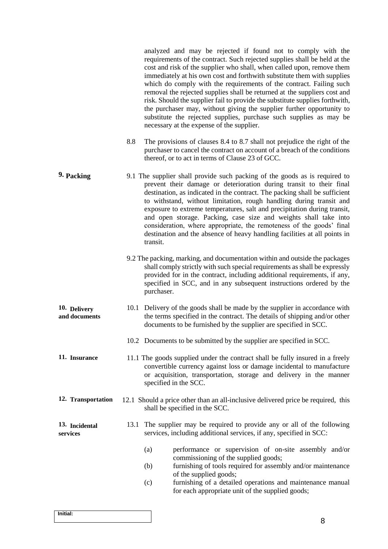analyzed and may be rejected if found not to comply with the requirements of the contract. Such rejected supplies shall be held at the cost and risk of the supplier who shall, when called upon, remove them immediately at his own cost and forthwith substitute them with supplies which do comply with the requirements of the contract. Failing such removal the rejected supplies shall be returned at the suppliers cost and risk. Should the supplier fail to provide the substitute supplies forthwith, the purchaser may, without giving the supplier further opportunity to substitute the rejected supplies, purchase such supplies as may be necessary at the expense of the supplier.

- 8.8 The provisions of clauses 8.4 to 8.7 shall not prejudice the right of the purchaser to cancel the contract on account of a breach of the conditions thereof, or to act in terms of Clause 23 of GCC.
- **9. Packing** 9.1 The supplier shall provide such packing of the goods as is required to prevent their damage or deterioration during transit to their final destination, as indicated in the contract. The packing shall be sufficient to withstand, without limitation, rough handling during transit and exposure to extreme temperatures, salt and precipitation during transit, and open storage. Packing, case size and weights shall take into consideration, where appropriate, the remoteness of the goods' final destination and the absence of heavy handling facilities at all points in transit.
	- 9.2 The packing, marking, and documentation within and outside the packages shall comply strictly with such special requirements as shall be expressly provided for in the contract, including additional requirements, if any, specified in SCC, and in any subsequent instructions ordered by the purchaser.
- **10. Delivery and documents** 10.1 Delivery of the goods shall be made by the supplier in accordance with the terms specified in the contract. The details of shipping and/or other documents to be furnished by the supplier are specified in SCC.
	- 10.2 Documents to be submitted by the supplier are specified in SCC.
- **11. Insurance** 11.1 The goods supplied under the contract shall be fully insured in a freely convertible currency against loss or damage incidental to manufacture or acquisition, transportation, storage and delivery in the manner specified in the SCC.
- **12. Transportation** 12.1 Should a price other than an all-inclusive delivered price be required, this shall be specified in the SCC.

#### **13. Incidental services** 13.1 The supplier may be required to provide any or all of the following services, including additional services, if any, specified in SCC:

- (a) performance or supervision of on-site assembly and/or commissioning of the supplied goods;
- (b) furnishing of tools required for assembly and/or maintenance of the supplied goods;
- (c) furnishing of a detailed operations and maintenance manual for each appropriate unit of the supplied goods;

| Initial: |  |  |
|----------|--|--|
|          |  |  |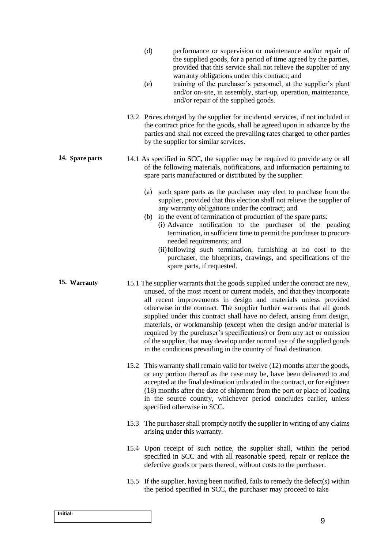- (d) performance or supervision or maintenance and/or repair of the supplied goods, for a period of time agreed by the parties, provided that this service shall not relieve the supplier of any warranty obligations under this contract; and
- (e) training of the purchaser's personnel, at the supplier's plant and/or on-site, in assembly, start-up, operation, maintenance, and/or repair of the supplied goods.
- 13.2 Prices charged by the supplier for incidental services, if not included in the contract price for the goods, shall be agreed upon in advance by the parties and shall not exceed the prevailing rates charged to other parties by the supplier for similar services.
- **14. Spare parts** 14.1 As specified in SCC, the supplier may be required to provide any or all of the following materials, notifications, and information pertaining to spare parts manufactured or distributed by the supplier:
	- (a) such spare parts as the purchaser may elect to purchase from the supplier, provided that this election shall not relieve the supplier of any warranty obligations under the contract; and
	- (b) in the event of termination of production of the spare parts: (i) Advance notification to the purchaser of the pending termination, in sufficient time to permit the purchaser to procure needed requirements; and
		- (ii)following such termination, furnishing at no cost to the purchaser, the blueprints, drawings, and specifications of the spare parts, if requested.
- **15. Warranty** 15.1 The supplier warrants that the goods supplied under the contract are new, unused, of the most recent or current models, and that they incorporate all recent improvements in design and materials unless provided otherwise in the contract. The supplier further warrants that all goods supplied under this contract shall have no defect, arising from design, materials, or workmanship (except when the design and/or material is required by the purchaser's specifications) or from any act or omission of the supplier, that may develop under normal use of the supplied goods in the conditions prevailing in the country of final destination.
	- 15.2 This warranty shall remain valid for twelve (12) months after the goods, or any portion thereof as the case may be, have been delivered to and accepted at the final destination indicated in the contract, or for eighteen (18) months after the date of shipment from the port or place of loading in the source country, whichever period concludes earlier, unless specified otherwise in SCC.
	- 15.3 The purchaser shall promptly notify the supplier in writing of any claims arising under this warranty.
	- 15.4 Upon receipt of such notice, the supplier shall, within the period specified in SCC and with all reasonable speed, repair or replace the defective goods or parts thereof, without costs to the purchaser.
	- 15.5 If the supplier, having been notified, fails to remedy the defect(s) within the period specified in SCC, the purchaser may proceed to take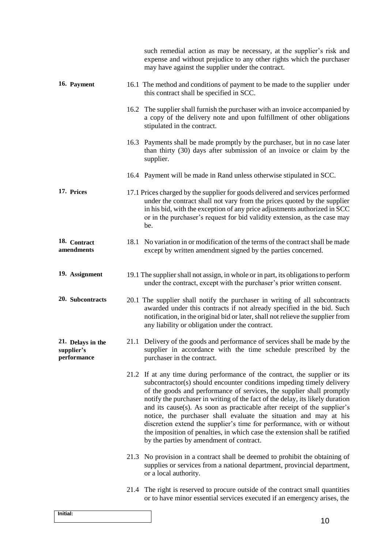|                                                |      | such remedial action as may be necessary, at the supplier's risk and<br>expense and without prejudice to any other rights which the purchaser<br>may have against the supplier under the contract.                                                                                                                                                                                                                                                                                                                                                                                                                                                                  |
|------------------------------------------------|------|---------------------------------------------------------------------------------------------------------------------------------------------------------------------------------------------------------------------------------------------------------------------------------------------------------------------------------------------------------------------------------------------------------------------------------------------------------------------------------------------------------------------------------------------------------------------------------------------------------------------------------------------------------------------|
| 16. Payment                                    |      | 16.1 The method and conditions of payment to be made to the supplier under<br>this contract shall be specified in SCC.                                                                                                                                                                                                                                                                                                                                                                                                                                                                                                                                              |
|                                                | 16.2 | The supplier shall furnish the purchaser with an invoice accompanied by<br>a copy of the delivery note and upon fulfillment of other obligations<br>stipulated in the contract.                                                                                                                                                                                                                                                                                                                                                                                                                                                                                     |
|                                                |      | 16.3 Payments shall be made promptly by the purchaser, but in no case later<br>than thirty (30) days after submission of an invoice or claim by the<br>supplier.                                                                                                                                                                                                                                                                                                                                                                                                                                                                                                    |
|                                                |      | 16.4 Payment will be made in Rand unless otherwise stipulated in SCC.                                                                                                                                                                                                                                                                                                                                                                                                                                                                                                                                                                                               |
| 17. Prices                                     |      | 17.1 Prices charged by the supplier for goods delivered and services performed<br>under the contract shall not vary from the prices quoted by the supplier<br>in his bid, with the exception of any price adjustments authorized in SCC<br>or in the purchaser's request for bid validity extension, as the case may<br>be.                                                                                                                                                                                                                                                                                                                                         |
| 18. Contract<br>amendments                     | 18.1 | No variation in or modification of the terms of the contract shall be made<br>except by written amendment signed by the parties concerned.                                                                                                                                                                                                                                                                                                                                                                                                                                                                                                                          |
| 19. Assignment                                 |      | 19.1 The supplier shall not assign, in whole or in part, its obligations to perform<br>under the contract, except with the purchaser's prior written consent.                                                                                                                                                                                                                                                                                                                                                                                                                                                                                                       |
| 20. Subcontracts                               |      | 20.1 The supplier shall notify the purchaser in writing of all subcontracts<br>awarded under this contracts if not already specified in the bid. Such<br>notification, in the original bid or later, shall not relieve the supplier from<br>any liability or obligation under the contract.                                                                                                                                                                                                                                                                                                                                                                         |
| 21. Delays in the<br>supplier's<br>performance |      | 21.1 Delivery of the goods and performance of services shall be made by the<br>supplier in accordance with the time schedule prescribed by the<br>purchaser in the contract.                                                                                                                                                                                                                                                                                                                                                                                                                                                                                        |
|                                                |      | 21.2 If at any time during performance of the contract, the supplier or its<br>subcontractor(s) should encounter conditions impeding timely delivery<br>of the goods and performance of services, the supplier shall promptly<br>notify the purchaser in writing of the fact of the delay, its likely duration<br>and its cause(s). As soon as practicable after receipt of the supplier's<br>notice, the purchaser shall evaluate the situation and may at his<br>discretion extend the supplier's time for performance, with or without<br>the imposition of penalties, in which case the extension shall be ratified<br>by the parties by amendment of contract. |
|                                                |      | 21.3 No provision in a contract shall be deemed to prohibit the obtaining of<br>supplies or services from a national department, provincial department,<br>or a local authority.                                                                                                                                                                                                                                                                                                                                                                                                                                                                                    |
|                                                |      | 21.4 The right is reserved to procure outside of the contract small quantities<br>or to have minor essential services executed if an emergency arises, the                                                                                                                                                                                                                                                                                                                                                                                                                                                                                                          |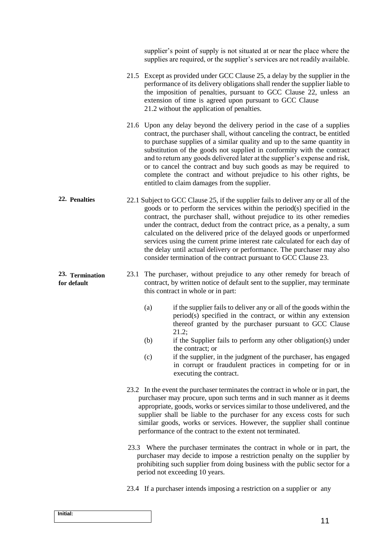|                                |                                                                                           | supplier's point of supply is not situated at or near the place where the<br>supplies are required, or the supplier's services are not readily available.                                                                                                                                                                                                                                                                                                                                                                                                                                                           |
|--------------------------------|-------------------------------------------------------------------------------------------|---------------------------------------------------------------------------------------------------------------------------------------------------------------------------------------------------------------------------------------------------------------------------------------------------------------------------------------------------------------------------------------------------------------------------------------------------------------------------------------------------------------------------------------------------------------------------------------------------------------------|
|                                |                                                                                           | 21.5 Except as provided under GCC Clause 25, a delay by the supplier in the<br>performance of its delivery obligations shall render the supplier liable to<br>the imposition of penalties, pursuant to GCC Clause 22, unless an<br>extension of time is agreed upon pursuant to GCC Clause<br>21.2 without the application of penalties.                                                                                                                                                                                                                                                                            |
|                                |                                                                                           | 21.6 Upon any delay beyond the delivery period in the case of a supplies<br>contract, the purchaser shall, without canceling the contract, be entitled<br>to purchase supplies of a similar quality and up to the same quantity in<br>substitution of the goods not supplied in conformity with the contract<br>and to return any goods delivered later at the supplier's expense and risk,<br>or to cancel the contract and buy such goods as may be required to<br>complete the contract and without prejudice to his other rights, be<br>entitled to claim damages from the supplier.                            |
| 22. Penalties                  |                                                                                           | 22.1 Subject to GCC Clause 25, if the supplier fails to deliver any or all of the<br>goods or to perform the services within the period(s) specified in the<br>contract, the purchaser shall, without prejudice to its other remedies<br>under the contract, deduct from the contract price, as a penalty, a sum<br>calculated on the delivered price of the delayed goods or unperformed<br>services using the current prime interest rate calculated for each day of<br>the delay until actual delivery or performance. The purchaser may also<br>consider termination of the contract pursuant to GCC Clause 23. |
| 23. Termination<br>for default | 23.1                                                                                      | The purchaser, without prejudice to any other remedy for breach of<br>contract, by written notice of default sent to the supplier, may terminate<br>this contract in whole or in part:                                                                                                                                                                                                                                                                                                                                                                                                                              |
|                                |                                                                                           | if the supplier fails to deliver any or all of the goods within the<br>(a)<br>period(s) specified in the contract, or within any extension<br>thereof granted by the purchaser pursuant to GCC Clause<br>21.2;                                                                                                                                                                                                                                                                                                                                                                                                      |
|                                | (b)<br>if the Supplier fails to perform any other obligation(s) under<br>the contract; or |                                                                                                                                                                                                                                                                                                                                                                                                                                                                                                                                                                                                                     |
|                                |                                                                                           | if the supplier, in the judgment of the purchaser, has engaged<br>(c)<br>in corrupt or fraudulent practices in competing for or in<br>executing the contract.                                                                                                                                                                                                                                                                                                                                                                                                                                                       |
|                                |                                                                                           | 23.2 In the event the purchaser terminates the contract in whole or in part, the<br>purchaser may procure, upon such terms and in such manner as it deems<br>appropriate, goods, works or services similar to those undelivered, and the<br>supplier shall be liable to the purchaser for any excess costs for such<br>similar goods, works or services. However, the supplier shall continue<br>performance of the contract to the extent not terminated.                                                                                                                                                          |
|                                |                                                                                           | 23.3 Where the purchaser terminates the contract in whole or in part, the<br>purchaser may decide to impose a restriction penalty on the supplier by<br>prohibiting such supplier from doing business with the public sector for a<br>period not exceeding 10 years.                                                                                                                                                                                                                                                                                                                                                |
|                                |                                                                                           | 23.4 If a purchaser intends imposing a restriction on a supplier or any                                                                                                                                                                                                                                                                                                                                                                                                                                                                                                                                             |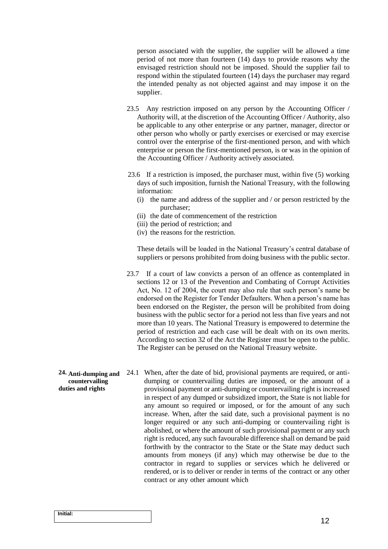person associated with the supplier, the supplier will be allowed a time period of not more than fourteen (14) days to provide reasons why the envisaged restriction should not be imposed. Should the supplier fail to respond within the stipulated fourteen (14) days the purchaser may regard the intended penalty as not objected against and may impose it on the supplier.

- 23.5 Any restriction imposed on any person by the Accounting Officer / Authority will, at the discretion of the Accounting Officer / Authority, also be applicable to any other enterprise or any partner, manager, director or other person who wholly or partly exercises or exercised or may exercise control over the enterprise of the first-mentioned person, and with which enterprise or person the first-mentioned person, is or was in the opinion of the Accounting Officer / Authority actively associated.
- 23.6 If a restriction is imposed, the purchaser must, within five (5) working days of such imposition, furnish the National Treasury, with the following information:
	- (i) the name and address of the supplier and / or person restricted by the purchaser;
	- (ii) the date of commencement of the restriction
	- (iii) the period of restriction; and
	- (iv) the reasons for the restriction.

These details will be loaded in the National Treasury's central database of suppliers or persons prohibited from doing business with the public sector.

- 23.7 If a court of law convicts a person of an offence as contemplated in sections 12 or 13 of the Prevention and Combating of Corrupt Activities Act, No. 12 of 2004, the court may also rule that such person's name be endorsed on the Register for Tender Defaulters. When a person's name has been endorsed on the Register, the person will be prohibited from doing business with the public sector for a period not less than five years and not more than 10 years. The National Treasury is empowered to determine the period of restriction and each case will be dealt with on its own merits. According to section 32 of the Act the Register must be open to the public. The Register can be perused on the National Treasury website.
- **24. Anti-dumping and countervailing duties and rights** 24.1 When, after the date of bid, provisional payments are required, or antidumping or countervailing duties are imposed, or the amount of a provisional payment or anti-dumping or countervailing right is increased in respect of any dumped or subsidized import, the State is not liable for any amount so required or imposed, or for the amount of any such increase. When, after the said date, such a provisional payment is no longer required or any such anti-dumping or countervailing right is abolished, or where the amount of such provisional payment or any such right is reduced, any such favourable difference shall on demand be paid forthwith by the contractor to the State or the State may deduct such amounts from moneys (if any) which may otherwise be due to the contractor in regard to supplies or services which he delivered or rendered, or is to deliver or render in terms of the contract or any other contract or any other amount which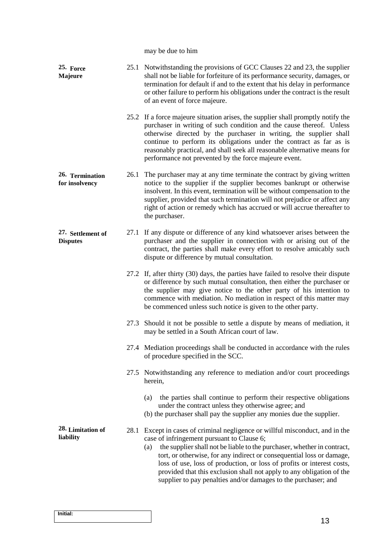may be due to him

| 25. Force<br>Majeure                 |      | 25.1 Notwithstanding the provisions of GCC Clauses 22 and 23, the supplier<br>shall not be liable for forfeiture of its performance security, damages, or<br>termination for default if and to the extent that his delay in performance<br>or other failure to perform his obligations under the contract is the result<br>of an event of force majeure.                                                                                                                                               |
|--------------------------------------|------|--------------------------------------------------------------------------------------------------------------------------------------------------------------------------------------------------------------------------------------------------------------------------------------------------------------------------------------------------------------------------------------------------------------------------------------------------------------------------------------------------------|
|                                      |      | 25.2 If a force majeure situation arises, the supplier shall promptly notify the<br>purchaser in writing of such condition and the cause thereof. Unless<br>otherwise directed by the purchaser in writing, the supplier shall<br>continue to perform its obligations under the contract as far as is<br>reasonably practical, and shall seek all reasonable alternative means for<br>performance not prevented by the force majeure event.                                                            |
| 26. Termination<br>for insolvency    |      | 26.1 The purchaser may at any time terminate the contract by giving written<br>notice to the supplier if the supplier becomes bankrupt or otherwise<br>insolvent. In this event, termination will be without compensation to the<br>supplier, provided that such termination will not prejudice or affect any<br>right of action or remedy which has accrued or will accrue thereafter to<br>the purchaser.                                                                                            |
| 27. Settlement of<br><b>Disputes</b> | 27.1 | If any dispute or difference of any kind whatsoever arises between the<br>purchaser and the supplier in connection with or arising out of the<br>contract, the parties shall make every effort to resolve amicably such<br>dispute or difference by mutual consultation.                                                                                                                                                                                                                               |
|                                      |      | 27.2 If, after thirty (30) days, the parties have failed to resolve their dispute<br>or difference by such mutual consultation, then either the purchaser or<br>the supplier may give notice to the other party of his intention to<br>commence with mediation. No mediation in respect of this matter may<br>be commenced unless such notice is given to the other party.                                                                                                                             |
|                                      |      | 27.3 Should it not be possible to settle a dispute by means of mediation, it<br>may be settled in a South African court of law.                                                                                                                                                                                                                                                                                                                                                                        |
|                                      |      | 27.4 Mediation proceedings shall be conducted in accordance with the rules<br>of procedure specified in the SCC.                                                                                                                                                                                                                                                                                                                                                                                       |
|                                      |      | 27.5 Notwithstanding any reference to mediation and/or court proceedings<br>herein,                                                                                                                                                                                                                                                                                                                                                                                                                    |
|                                      |      | the parties shall continue to perform their respective obligations<br>(a)<br>under the contract unless they otherwise agree; and<br>(b) the purchaser shall pay the supplier any monies due the supplier.                                                                                                                                                                                                                                                                                              |
| 28. Limitation of<br>liability       | 28.1 | Except in cases of criminal negligence or willful misconduct, and in the<br>case of infringement pursuant to Clause 6;<br>the supplier shall not be liable to the purchaser, whether in contract,<br>(a)<br>tort, or otherwise, for any indirect or consequential loss or damage,<br>loss of use, loss of production, or loss of profits or interest costs,<br>provided that this exclusion shall not apply to any obligation of the<br>supplier to pay penalties and/or damages to the purchaser; and |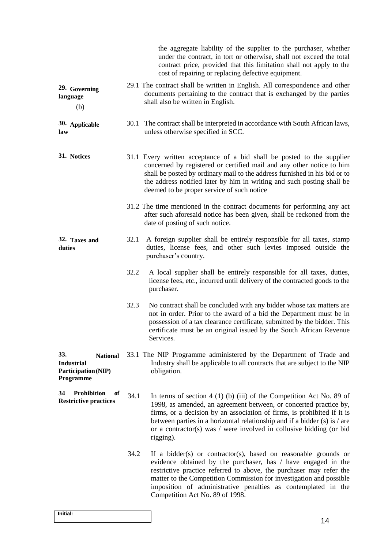|                                                                                 |      | the aggregate liability of the supplier to the purchaser, whether<br>under the contract, in tort or otherwise, shall not exceed the total<br>contract price, provided that this limitation shall not apply to the<br>cost of repairing or replacing defective equipment.                                                                                                               |
|---------------------------------------------------------------------------------|------|----------------------------------------------------------------------------------------------------------------------------------------------------------------------------------------------------------------------------------------------------------------------------------------------------------------------------------------------------------------------------------------|
| 29. Governing<br>language<br>(b)                                                |      | 29.1 The contract shall be written in English. All correspondence and other<br>documents pertaining to the contract that is exchanged by the parties<br>shall also be written in English.                                                                                                                                                                                              |
| 30. Applicable<br>law                                                           |      | 30.1 The contract shall be interpreted in accordance with South African laws,<br>unless otherwise specified in SCC.                                                                                                                                                                                                                                                                    |
| 31. Notices                                                                     |      | 31.1 Every written acceptance of a bid shall be posted to the supplier<br>concerned by registered or certified mail and any other notice to him<br>shall be posted by ordinary mail to the address furnished in his bid or to<br>the address notified later by him in writing and such posting shall be<br>deemed to be proper service of such notice                                  |
|                                                                                 |      | 31.2 The time mentioned in the contract documents for performing any act<br>after such aforesaid notice has been given, shall be reckoned from the<br>date of posting of such notice.                                                                                                                                                                                                  |
| 32. Taxes and<br>duties                                                         | 32.1 | A foreign supplier shall be entirely responsible for all taxes, stamp<br>duties, license fees, and other such levies imposed outside the<br>purchaser's country.                                                                                                                                                                                                                       |
|                                                                                 | 32.2 | A local supplier shall be entirely responsible for all taxes, duties,<br>license fees, etc., incurred until delivery of the contracted goods to the<br>purchaser.                                                                                                                                                                                                                      |
|                                                                                 | 32.3 | No contract shall be concluded with any bidder whose tax matters are<br>not in order. Prior to the award of a bid the Department must be in<br>possession of a tax clearance certificate, submitted by the bidder. This<br>certificate must be an original issued by the South African Revenue<br>Services.                                                                            |
| 33.<br><b>National</b><br><b>Industrial</b><br>Participation (NIP)<br>Programme |      | 33.1 The NIP Programme administered by the Department of Trade and<br>Industry shall be applicable to all contracts that are subject to the NIP<br>obligation.                                                                                                                                                                                                                         |
| <b>Prohibition</b><br>34<br>of<br><b>Restrictive practices</b>                  | 34.1 | In terms of section $4(1)(b)(iii)$ of the Competition Act No. 89 of<br>1998, as amended, an agreement between, or concerted practice by,<br>firms, or a decision by an association of firms, is prohibited if it is<br>between parties in a horizontal relationship and if a bidder $(s)$ is / are<br>or a contractor(s) was / were involved in collusive bidding (or bid<br>rigging). |
|                                                                                 | 34.2 | If a bidder(s) or contractor(s), based on reasonable grounds or<br>evidence obtained by the purchaser, has / have engaged in the<br>restrictive practice referred to above, the purchaser may refer the<br>matter to the Competition Commission for investigation and possible<br>imposition of administrative penalties as contemplated in the<br>Competition Act No. 89 of 1998.     |